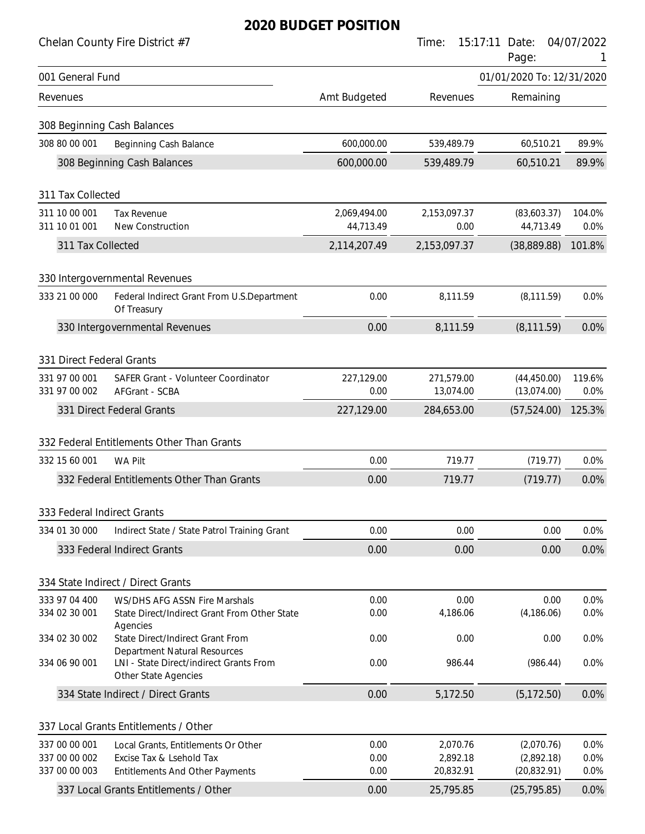|                                            | Chelan County Fire District #7                                                                         |              | Time:                | 15:17:11<br>Date:<br>Page: | 04/07/2022   |
|--------------------------------------------|--------------------------------------------------------------------------------------------------------|--------------|----------------------|----------------------------|--------------|
| 001 General Fund                           |                                                                                                        |              |                      | 01/01/2020 To: 12/31/2020  |              |
| Revenues                                   |                                                                                                        | Amt Budgeted | Revenues             | Remaining                  |              |
|                                            | 308 Beginning Cash Balances                                                                            |              |                      |                            |              |
| 308 80 00 001                              | <b>Beginning Cash Balance</b>                                                                          | 600,000.00   | 539,489.79           | 60,510.21                  | 89.9%        |
|                                            | 308 Beginning Cash Balances                                                                            | 600,000.00   | 539,489.79           | 60,510.21                  | 89.9%        |
| 311 Tax Collected                          |                                                                                                        |              |                      |                            |              |
| 311 10 00 001                              | <b>Tax Revenue</b>                                                                                     | 2,069,494.00 | 2,153,097.37         | (83,603.37)                | 104.0%       |
| 311 10 01 001                              | New Construction                                                                                       | 44,713.49    | 0.00                 | 44,713.49                  | 0.0%         |
| 311 Tax Collected                          |                                                                                                        | 2,114,207.49 | 2,153,097.37         | (38,889.88)                | 101.8%       |
|                                            | 330 Intergovernmental Revenues                                                                         |              |                      |                            |              |
| 333 21 00 000                              | Federal Indirect Grant From U.S.Department<br>Of Treasury                                              | 0.00         | 8,111.59             | (8, 111.59)                | 0.0%         |
|                                            | 330 Intergovernmental Revenues                                                                         | 0.00         | 8,111.59             | (8, 111.59)                | 0.0%         |
|                                            |                                                                                                        |              |                      |                            |              |
| 331 Direct Federal Grants<br>331 97 00 001 | SAFER Grant - Volunteer Coordinator                                                                    | 227,129.00   | 271,579.00           | (44, 450.00)               | 119.6%       |
| 331 97 00 002                              | AFGrant - SCBA                                                                                         | 0.00         | 13,074.00            | (13,074.00)                | 0.0%         |
|                                            | 331 Direct Federal Grants                                                                              | 227,129.00   | 284,653.00           | (57, 524.00)               | 125.3%       |
|                                            | 332 Federal Entitlements Other Than Grants                                                             |              |                      |                            |              |
| 332 15 60 001                              | <b>WA Pilt</b>                                                                                         | 0.00         | 719.77               | (719.77)                   | 0.0%         |
|                                            | 332 Federal Entitlements Other Than Grants                                                             | 0.00         | 719.77               | (719.77)                   | 0.0%         |
|                                            |                                                                                                        |              |                      |                            |              |
| 333 Federal Indirect Grants                |                                                                                                        |              |                      |                            |              |
| 334 01 30 000                              | Indirect State / State Patrol Training Grant                                                           | 0.00         | 0.00                 | 0.00                       | 0.0%         |
|                                            | 333 Federal Indirect Grants                                                                            | 0.00         | 0.00                 | 0.00                       | 0.0%         |
|                                            |                                                                                                        |              |                      |                            |              |
| 333 97 04 400                              | 334 State Indirect / Direct Grants                                                                     | 0.00         | 0.00                 | 0.00                       | 0.0%         |
| 334 02 30 001                              | WS/DHS AFG ASSN Fire Marshals<br>State Direct/Indirect Grant From Other State                          | 0.00         | 4,186.06             | (4, 186.06)                | 0.0%         |
| 334 02 30 002                              | Agencies<br>State Direct/Indirect Grant From                                                           | 0.00         | 0.00                 | 0.00                       | 0.0%         |
| 334 06 90 001                              | <b>Department Natural Resources</b><br>LNI - State Direct/indirect Grants From<br>Other State Agencies | 0.00         | 986.44               | (986.44)                   | 0.0%         |
|                                            | 334 State Indirect / Direct Grants                                                                     | 0.00         | 5,172.50             | (5, 172.50)                | 0.0%         |
|                                            |                                                                                                        |              |                      |                            |              |
|                                            | 337 Local Grants Entitlements / Other                                                                  |              |                      |                            |              |
| 337 00 00 001<br>337 00 00 002             | Local Grants, Entitlements Or Other<br>Excise Tax & Lsehold Tax                                        | 0.00<br>0.00 | 2,070.76<br>2,892.18 | (2,070.76)<br>(2,892.18)   | 0.0%<br>0.0% |
| 337 00 00 003                              | <b>Entitlements And Other Payments</b>                                                                 | 0.00         | 20,832.91            | (20, 832.91)               | 0.0%         |
|                                            | 337 Local Grants Entitlements / Other                                                                  | 0.00         | 25,795.85            | (25, 795.85)               | 0.0%         |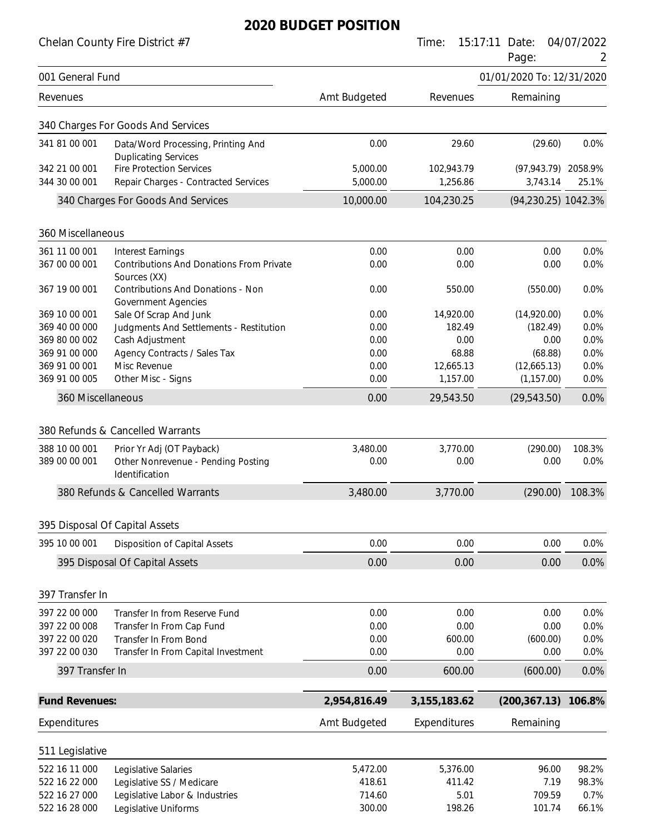|                                | Chelan County Fire District #7                                                    |                       | Time:                  | 15:17:11 Date:<br>Page:         | 04/07/2022<br>2 |
|--------------------------------|-----------------------------------------------------------------------------------|-----------------------|------------------------|---------------------------------|-----------------|
| 001 General Fund               |                                                                                   |                       |                        | 01/01/2020 To: 12/31/2020       |                 |
| Revenues                       |                                                                                   | Amt Budgeted          | Revenues               | Remaining                       |                 |
|                                | 340 Charges For Goods And Services                                                |                       |                        |                                 |                 |
| 341 81 00 001                  | Data/Word Processing, Printing And<br><b>Duplicating Services</b>                 | 0.00                  | 29.60                  | (29.60)                         | 0.0%            |
| 342 21 00 001                  | <b>Fire Protection Services</b>                                                   | 5,000.00              | 102,943.79             | (97,943.79) 2058.9%             |                 |
| 344 30 00 001                  | Repair Charges - Contracted Services<br>340 Charges For Goods And Services        | 5,000.00<br>10,000.00 | 1,256.86<br>104,230.25 | 3,743.14<br>(94,230.25) 1042.3% | 25.1%           |
|                                |                                                                                   |                       |                        |                                 |                 |
| 360 Miscellaneous              |                                                                                   |                       |                        |                                 |                 |
| 361 11 00 001                  | <b>Interest Earnings</b>                                                          | 0.00                  | 0.00                   | 0.00                            | 0.0%            |
| 367 00 00 001                  | Contributions And Donations From Private<br>Sources (XX)                          | 0.00                  | 0.00                   | 0.00                            | 0.0%            |
| 367 19 00 001                  | Contributions And Donations - Non<br><b>Government Agencies</b>                   | 0.00                  | 550.00                 | (550.00)                        | 0.0%            |
| 369 10 00 001                  | Sale Of Scrap And Junk                                                            | 0.00                  | 14,920.00              | (14,920.00)                     | 0.0%            |
| 369 40 00 000                  | Judgments And Settlements - Restitution                                           | 0.00                  | 182.49                 | (182.49)                        | 0.0%            |
| 369 80 00 002                  | Cash Adjustment                                                                   | 0.00                  | 0.00                   | 0.00                            | 0.0%            |
| 369 91 00 000                  | Agency Contracts / Sales Tax                                                      | 0.00                  | 68.88<br>12,665.13     | (68.88)                         | 0.0%            |
| 369 91 00 001<br>369 91 00 005 | Misc Revenue<br>Other Misc - Signs                                                | 0.00<br>0.00          | 1,157.00               | (12,665.13)<br>(1, 157.00)      | 0.0%<br>0.0%    |
| 360 Miscellaneous              |                                                                                   | 0.00                  | 29,543.50              | (29, 543.50)                    | 0.0%            |
|                                | 380 Refunds & Cancelled Warrants                                                  |                       |                        |                                 |                 |
|                                |                                                                                   |                       |                        |                                 |                 |
| 388 10 00 001<br>389 00 00 001 | Prior Yr Adj (OT Payback)<br>Other Nonrevenue - Pending Posting<br>Identification | 3,480.00<br>0.00      | 3,770.00<br>0.00       | (290.00)<br>0.00                | 108.3%<br>0.0%  |
|                                | 380 Refunds & Cancelled Warrants                                                  | 3,480.00              | 3,770.00               | (290.00)                        | 108.3%          |
|                                | 395 Disposal Of Capital Assets                                                    |                       |                        |                                 |                 |
| 395 10 00 001                  | <b>Disposition of Capital Assets</b>                                              | 0.00                  | 0.00                   | 0.00                            | 0.0%            |
|                                | 395 Disposal Of Capital Assets                                                    | 0.00                  | 0.00                   | 0.00                            | 0.0%            |
|                                |                                                                                   |                       |                        |                                 |                 |
| 397 Transfer In                |                                                                                   |                       |                        |                                 |                 |
| 397 22 00 000                  | Transfer In from Reserve Fund                                                     | 0.00                  | 0.00                   | 0.00                            | 0.0%            |
| 397 22 00 008                  | Transfer In From Cap Fund                                                         | 0.00                  | 0.00                   | 0.00                            | 0.0%            |
| 397 22 00 020                  | Transfer In From Bond                                                             | 0.00                  | 600.00                 | (600.00)                        | 0.0%            |
| 397 22 00 030                  | Transfer In From Capital Investment                                               | 0.00                  | 0.00                   | 0.00                            | 0.0%            |
| 397 Transfer In                |                                                                                   | 0.00                  | 600.00                 | (600.00)                        | 0.0%            |
| <b>Fund Revenues:</b>          |                                                                                   | 2,954,816.49          | 3, 155, 183. 62        | (200, 367.13)                   | 106.8%          |
| Expenditures                   |                                                                                   | Amt Budgeted          | Expenditures           | Remaining                       |                 |
| 511 Legislative                |                                                                                   |                       |                        |                                 |                 |
| 522 16 11 000                  | Legislative Salaries                                                              | 5,472.00              | 5,376.00               | 96.00                           | 98.2%           |
| 522 16 22 000                  | Legislative SS / Medicare                                                         | 418.61                | 411.42                 | 7.19                            | 98.3%           |
| 522 16 27 000                  | Legislative Labor & Industries                                                    | 714.60                | 5.01                   | 709.59                          | 0.7%            |
| 522 16 28 000                  | Legislative Uniforms                                                              | 300.00                | 198.26                 | 101.74                          | 66.1%           |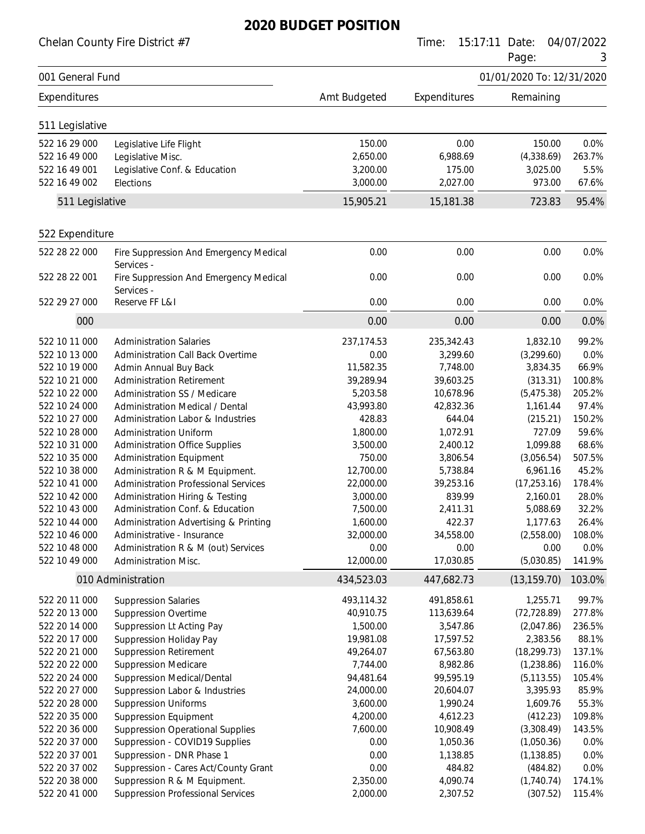Chelan County Fire District #7 Time: 15:17:11 Date: 04/07/2022

|                  |                                                      |              |              | Page:                     | 3      |
|------------------|------------------------------------------------------|--------------|--------------|---------------------------|--------|
| 001 General Fund |                                                      |              |              | 01/01/2020 To: 12/31/2020 |        |
| Expenditures     |                                                      | Amt Budgeted | Expenditures | Remaining                 |        |
| 511 Legislative  |                                                      |              |              |                           |        |
| 522 16 29 000    | Legislative Life Flight                              | 150.00       | 0.00         | 150.00                    | 0.0%   |
| 522 16 49 000    | Legislative Misc.                                    | 2,650.00     | 6,988.69     | (4,338.69)                | 263.7% |
| 522 16 49 001    | Legislative Conf. & Education                        | 3,200.00     | 175.00       | 3,025.00                  | 5.5%   |
| 522 16 49 002    | Elections                                            | 3,000.00     | 2,027.00     | 973.00                    | 67.6%  |
| 511 Legislative  |                                                      | 15,905.21    | 15,181.38    | 723.83                    | 95.4%  |
| 522 Expenditure  |                                                      |              |              |                           |        |
| 522 28 22 000    | Fire Suppression And Emergency Medical<br>Services - | 0.00         | 0.00         | 0.00                      | 0.0%   |
| 522 28 22 001    | Fire Suppression And Emergency Medical<br>Services - | 0.00         | 0.00         | 0.00                      | 0.0%   |
| 522 29 27 000    | Reserve FF L&I                                       | 0.00         | 0.00         | 0.00                      | 0.0%   |
| 000              |                                                      | 0.00         | 0.00         | 0.00                      | 0.0%   |
| 522 10 11 000    | <b>Administration Salaries</b>                       | 237,174.53   | 235,342.43   | 1,832.10                  | 99.2%  |
| 522 10 13 000    | <b>Administration Call Back Overtime</b>             | 0.00         | 3,299.60     | (3,299.60)                | 0.0%   |
| 522 10 19 000    | Admin Annual Buy Back                                | 11,582.35    | 7,748.00     | 3,834.35                  | 66.9%  |
| 522 10 21 000    | <b>Administration Retirement</b>                     | 39,289.94    | 39,603.25    | (313.31)                  | 100.8% |
| 522 10 22 000    | Administration SS / Medicare                         | 5,203.58     | 10,678.96    | (5,475.38)                | 205.2% |
| 522 10 24 000    | <b>Administration Medical / Dental</b>               | 43,993.80    | 42,832.36    | 1,161.44                  | 97.4%  |
| 522 10 27 000    | Administration Labor & Industries                    | 428.83       | 644.04       | (215.21)                  | 150.2% |
| 522 10 28 000    | <b>Administration Uniform</b>                        | 1,800.00     | 1,072.91     | 727.09                    | 59.6%  |
| 522 10 31 000    | <b>Administration Office Supplies</b>                | 3,500.00     | 2,400.12     | 1,099.88                  | 68.6%  |
| 522 10 35 000    | <b>Administration Equipment</b>                      | 750.00       | 3,806.54     | (3,056.54)                | 507.5% |
| 522 10 38 000    | Administration R & M Equipment.                      | 12,700.00    | 5,738.84     | 6,961.16                  | 45.2%  |
| 522 10 41 000    | <b>Administration Professional Services</b>          | 22,000.00    | 39,253.16    | (17, 253.16)              | 178.4% |
| 522 10 42 000    | Administration Hiring & Testing                      | 3,000.00     | 839.99       | 2,160.01                  | 28.0%  |
| 522 10 43 000    | Administration Conf. & Education                     | 7,500.00     | 2,411.31     | 5,088.69                  | 32.2%  |
| 522 10 44 000    | Administration Advertising & Printing                | 1,600.00     | 422.37       | 1,177.63                  | 26.4%  |
| 522 10 46 000    | Administrative - Insurance                           | 32,000.00    | 34,558.00    | (2,558.00)                | 108.0% |
| 522 10 48 000    | Administration R & M (out) Services                  | 0.00         | 0.00         | 0.00                      | 0.0%   |
| 522 10 49 000    | Administration Misc.                                 | 12,000.00    | 17,030.85    | (5,030.85)                | 141.9% |
|                  | 010 Administration                                   | 434,523.03   | 447,682.73   | (13, 159.70)              | 103.0% |
| 522 20 11 000    | <b>Suppression Salaries</b>                          | 493,114.32   | 491,858.61   | 1,255.71                  | 99.7%  |
| 522 20 13 000    | <b>Suppression Overtime</b>                          | 40,910.75    | 113,639.64   | (72, 728.89)              | 277.8% |
| 522 20 14 000    | Suppression Lt Acting Pay                            | 1,500.00     | 3,547.86     | (2,047.86)                | 236.5% |
| 522 20 17 000    | Suppression Holiday Pay                              | 19,981.08    | 17,597.52    | 2,383.56                  | 88.1%  |
| 522 20 21 000    | <b>Suppression Retirement</b>                        | 49,264.07    | 67,563.80    | (18, 299.73)              | 137.1% |
| 522 20 22 000    | <b>Suppression Medicare</b>                          | 7,744.00     | 8,982.86     | (1,238.86)                | 116.0% |
| 522 20 24 000    | <b>Suppression Medical/Dental</b>                    | 94,481.64    | 99,595.19    | (5, 113.55)               | 105.4% |
| 522 20 27 000    | Suppression Labor & Industries                       | 24,000.00    | 20,604.07    | 3,395.93                  | 85.9%  |
| 522 20 28 000    | <b>Suppression Uniforms</b>                          | 3,600.00     | 1,990.24     | 1,609.76                  | 55.3%  |
| 522 20 35 000    | <b>Suppression Equipment</b>                         | 4,200.00     | 4,612.23     | (412.23)                  | 109.8% |
| 522 20 36 000    | <b>Suppression Operational Supplies</b>              | 7,600.00     | 10,908.49    | (3,308.49)                | 143.5% |
| 522 20 37 000    | Suppression - COVID19 Supplies                       | 0.00         | 1,050.36     | (1,050.36)                | 0.0%   |
| 522 20 37 001    | Suppression - DNR Phase 1                            | 0.00         | 1,138.85     | (1, 138.85)               | 0.0%   |
| 522 20 37 002    | Suppression - Cares Act/County Grant                 | 0.00         | 484.82       | (484.82)                  | 0.0%   |
| 522 20 38 000    | Suppression R & M Equipment.                         | 2,350.00     | 4,090.74     | (1,740.74)                | 174.1% |
| 522 20 41 000    | <b>Suppression Professional Services</b>             | 2,000.00     | 2,307.52     | (307.52)                  | 115.4% |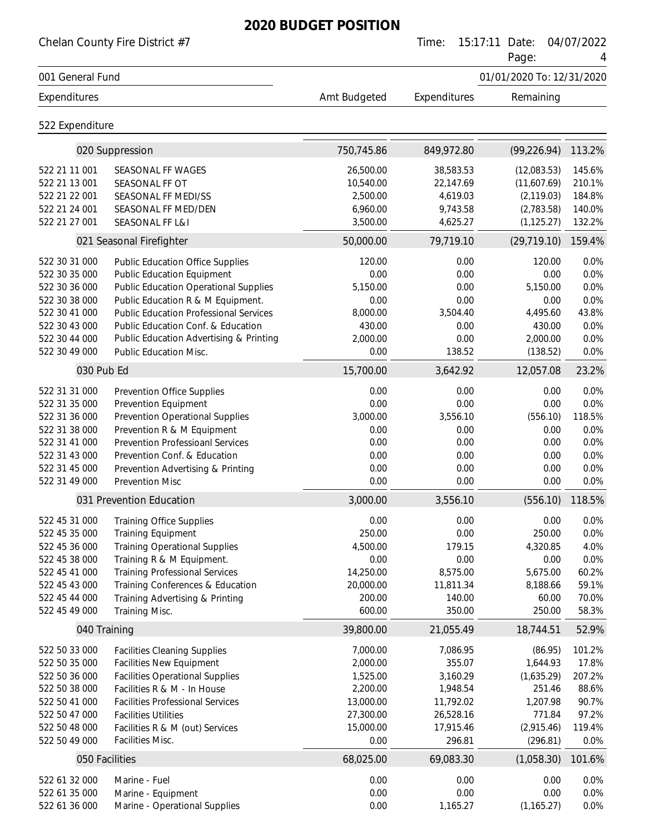|                                | Chelan County Fire District #7                    |                     | Time:               | 15:17:11<br>Date:<br>Page: | 04/07/2022     |
|--------------------------------|---------------------------------------------------|---------------------|---------------------|----------------------------|----------------|
| 001 General Fund               |                                                   |                     |                     | 01/01/2020 To: 12/31/2020  |                |
| Expenditures                   |                                                   | Amt Budgeted        | Expenditures        | Remaining                  |                |
| 522 Expenditure                |                                                   |                     |                     |                            |                |
|                                | 020 Suppression                                   | 750,745.86          | 849,972.80          | (99, 226.94)               | 113.2%         |
| 522 21 11 001                  | SEASONAL FF WAGES                                 | 26,500.00           | 38,583.53           | (12,083.53)                | 145.6%         |
| 522 21 13 001                  | SEASONAL FF OT                                    | 10,540.00           | 22,147.69           | (11,607.69)                | 210.1%         |
| 522 21 22 001                  | SEASONAL FF MEDI/SS                               | 2,500.00            | 4,619.03            | (2, 119.03)                | 184.8%         |
| 522 21 24 001                  | SEASONAL FF MED/DEN                               | 6,960.00            | 9,743.58            | (2,783.58)                 | 140.0%         |
| 522 21 27 001                  | SEASONAL FF L&I                                   | 3,500.00            | 4,625.27            | (1, 125.27)                | 132.2%         |
|                                | 021 Seasonal Firefighter                          | 50,000.00           | 79,719.10           | (29, 719.10)               | 159.4%         |
| 522 30 31 000                  | <b>Public Education Office Supplies</b>           | 120.00              | 0.00                | 120.00                     | 0.0%           |
| 522 30 35 000                  | <b>Public Education Equipment</b>                 | 0.00                | 0.00                | 0.00                       | 0.0%           |
| 522 30 36 000                  | <b>Public Education Operational Supplies</b>      | 5,150.00            | 0.00                | 5,150.00                   | 0.0%           |
| 522 30 38 000                  | Public Education R & M Equipment.                 | 0.00                | 0.00                | 0.00                       | 0.0%           |
| 522 30 41 000                  | <b>Public Education Professional Services</b>     | 8,000.00            | 3,504.40            | 4,495.60                   | 43.8%          |
| 522 30 43 000                  | Public Education Conf. & Education                | 430.00              | 0.00                | 430.00                     | 0.0%           |
| 522 30 44 000                  | Public Education Advertising & Printing           | 2,000.00            | 0.00                | 2,000.00                   | 0.0%           |
| 522 30 49 000                  | <b>Public Education Misc.</b>                     | 0.00                | 138.52              | (138.52)                   | 0.0%           |
| 030 Pub Ed                     |                                                   | 15,700.00           | 3,642.92            | 12,057.08                  | 23.2%          |
| 522 31 31 000                  | Prevention Office Supplies                        | 0.00                | 0.00                | 0.00                       | 0.0%           |
| 522 31 35 000                  | Prevention Equipment                              | 0.00                | 0.00                | 0.00                       | 0.0%           |
| 522 31 36 000                  | <b>Prevention Operational Supplies</b>            | 3,000.00            | 3,556.10            | (556.10)                   | 118.5%         |
| 522 31 38 000                  | Prevention R & M Equipment                        | 0.00                | 0.00                | 0.00                       | 0.0%           |
| 522 31 41 000                  | <b>Prevention Professioanl Services</b>           | 0.00                | 0.00                | 0.00                       | 0.0%           |
| 522 31 43 000                  | Prevention Conf. & Education                      | 0.00                | 0.00                | 0.00                       | 0.0%           |
| 522 31 45 000                  | Prevention Advertising & Printing                 | 0.00                | 0.00                | 0.00                       | 0.0%           |
| 522 31 49 000                  | <b>Prevention Misc</b>                            | 0.00                | 0.00                | 0.00                       | 0.0%           |
|                                | 031 Prevention Education                          | 3,000.00            | 3,556.10            | (556.10)                   | 118.5%         |
| 522 45 31 000                  | <b>Training Office Supplies</b>                   | 0.00                | 0.00                | 0.00                       | 0.0%           |
| 522 45 35 000                  | <b>Training Equipment</b>                         | 250.00              | 0.00                | 250.00                     | 0.0%           |
| 522 45 36 000                  | <b>Training Operational Supplies</b>              | 4,500.00            | 179.15              | 4,320.85                   | 4.0%           |
| 522 45 38 000                  | Training R & M Equipment.                         | 0.00                | 0.00                | 0.00                       | 0.0%           |
| 522 45 41 000                  | <b>Training Professional Services</b>             | 14,250.00           | 8,575.00            | 5,675.00                   | 60.2%          |
| 522 45 43 000<br>522 45 44 000 | Training Conferences & Education                  | 20,000.00<br>200.00 | 11,811.34<br>140.00 | 8,188.66<br>60.00          | 59.1%<br>70.0% |
| 522 45 49 000                  | Training Advertising & Printing<br>Training Misc. | 600.00              | 350.00              | 250.00                     | 58.3%          |
|                                | 040 Training                                      | 39,800.00           | 21,055.49           | 18,744.51                  | 52.9%          |
| 522 50 33 000                  | <b>Facilities Cleaning Supplies</b>               | 7,000.00            | 7,086.95            | (86.95)                    | 101.2%         |
| 522 50 35 000                  | <b>Facilities New Equipment</b>                   | 2,000.00            | 355.07              | 1,644.93                   | 17.8%          |
| 522 50 36 000                  | <b>Facilities Operational Supplies</b>            | 1,525.00            | 3,160.29            | (1,635.29)                 | 207.2%         |
| 522 50 38 000                  | Facilities R & M - In House                       | 2,200.00            | 1,948.54            | 251.46                     | 88.6%          |
| 522 50 41 000                  | <b>Facilities Professional Services</b>           | 13,000.00           | 11,792.02           | 1,207.98                   | 90.7%          |
| 522 50 47 000                  | <b>Facilities Utilities</b>                       | 27,300.00           | 26,528.16           | 771.84                     | 97.2%          |
| 522 50 48 000                  | Facilities R & M (out) Services                   | 15,000.00           | 17,915.46           | (2,915.46)                 | 119.4%         |
| 522 50 49 000                  | Facilities Misc.                                  | 0.00                | 296.81              | (296.81)                   | 0.0%           |
|                                | 050 Facilities                                    | 68,025.00           | 69,083.30           | (1,058.30)                 | 101.6%         |
| 522 61 32 000                  | Marine - Fuel                                     | 0.00                | 0.00                | 0.00                       | 0.0%           |
| 522 61 35 000                  | Marine - Equipment                                | 0.00                | 0.00                | 0.00                       | 0.0%           |
| 522 61 36 000                  | Marine - Operational Supplies                     | 0.00                | 1,165.27            | (1, 165.27)                | 0.0%           |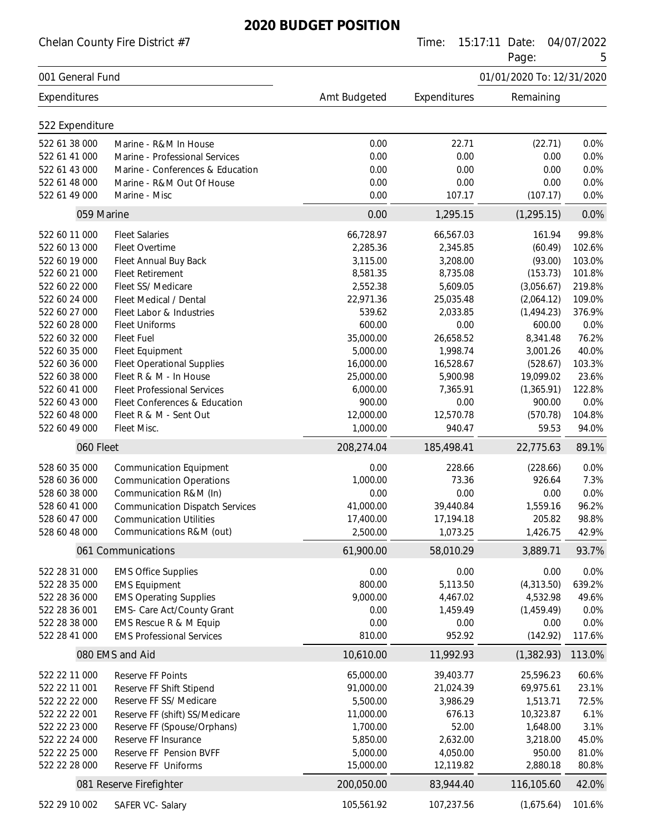Chelan County Fire District #7 Time: 15:17:11 Date: 04/07/2022

Page: 5

|                  |                                                            |              |              | . ugu.                    |        |
|------------------|------------------------------------------------------------|--------------|--------------|---------------------------|--------|
| 001 General Fund |                                                            |              |              | 01/01/2020 To: 12/31/2020 |        |
| Expenditures     |                                                            | Amt Budgeted | Expenditures | Remaining                 |        |
|                  |                                                            |              |              |                           |        |
| 522 Expenditure  |                                                            |              |              |                           |        |
| 522 61 38 000    | Marine - R&M In House                                      | 0.00         | 22.71        | (22.71)                   | 0.0%   |
| 522 61 41 000    | Marine - Professional Services                             | 0.00         | 0.00         | 0.00                      | 0.0%   |
| 522 61 43 000    | Marine - Conferences & Education                           | 0.00         | 0.00         | 0.00                      | 0.0%   |
| 522 61 48 000    | Marine - R&M Out Of House                                  | 0.00         | 0.00         | 0.00                      | 0.0%   |
| 522 61 49 000    | Marine - Misc                                              | 0.00         | 107.17       | (107.17)                  | 0.0%   |
| 059 Marine       |                                                            | 0.00         | 1,295.15     | (1, 295.15)               | 0.0%   |
| 522 60 11 000    | <b>Fleet Salaries</b>                                      | 66,728.97    | 66,567.03    | 161.94                    | 99.8%  |
| 522 60 13 000    | Fleet Overtime                                             | 2,285.36     | 2,345.85     | (60.49)                   | 102.6% |
| 522 60 19 000    | Fleet Annual Buy Back                                      | 3,115.00     | 3,208.00     | (93.00)                   | 103.0% |
| 522 60 21 000    | <b>Fleet Retirement</b>                                    | 8,581.35     | 8,735.08     | (153.73)                  | 101.8% |
| 522 60 22 000    | Fleet SS/ Medicare                                         | 2,552.38     | 5,609.05     | (3,056.67)                | 219.8% |
| 522 60 24 000    | Fleet Medical / Dental                                     | 22,971.36    | 25,035.48    | (2,064.12)                | 109.0% |
| 522 60 27 000    | Fleet Labor & Industries                                   | 539.62       | 2,033.85     | (1,494.23)                | 376.9% |
| 522 60 28 000    | <b>Fleet Uniforms</b>                                      | 600.00       | 0.00         | 600.00                    | 0.0%   |
| 522 60 32 000    | <b>Fleet Fuel</b>                                          | 35,000.00    | 26,658.52    | 8,341.48                  | 76.2%  |
| 522 60 35 000    | Fleet Equipment                                            | 5,000.00     | 1,998.74     | 3,001.26                  | 40.0%  |
| 522 60 36 000    | <b>Fleet Operational Supplies</b>                          | 16,000.00    | 16,528.67    | (528.67)                  | 103.3% |
| 522 60 38 000    | Fleet R & M - In House                                     | 25,000.00    | 5,900.98     | 19,099.02                 | 23.6%  |
| 522 60 41 000    | <b>Fleet Professional Services</b>                         | 6,000.00     | 7,365.91     | (1,365.91)                | 122.8% |
| 522 60 43 000    | Fleet Conferences & Education                              | 900.00       | 0.00         | 900.00                    | 0.0%   |
| 522 60 48 000    | Fleet R & M - Sent Out                                     | 12,000.00    | 12,570.78    | (570.78)                  | 104.8% |
| 522 60 49 000    | Fleet Misc.                                                | 1,000.00     | 940.47       | 59.53                     | 94.0%  |
| 060 Fleet        |                                                            | 208,274.04   | 185,498.41   | 22,775.63                 | 89.1%  |
| 528 60 35 000    | <b>Communication Equipment</b>                             | 0.00         | 228.66       | (228.66)                  | 0.0%   |
| 528 60 36 000    | <b>Communication Operations</b>                            | 1,000.00     | 73.36        | 926.64                    | 7.3%   |
| 528 60 38 000    | Communication R&M (In)                                     | 0.00         | 0.00         | 0.00                      | 0.0%   |
| 528 60 41 000    | <b>Communication Dispatch Services</b>                     | 41,000.00    | 39,440.84    | 1,559.16                  | 96.2%  |
| 528 60 47 000    | <b>Communication Utilities</b>                             | 17,400.00    | 17,194.18    | 205.82                    | 98.8%  |
| 528 60 48 000    | Communications R&M (out)                                   | 2,500.00     | 1,073.25     | 1,426.75                  | 42.9%  |
|                  | 061 Communications                                         | 61,900.00    | 58,010.29    | 3,889.71                  | 93.7%  |
|                  |                                                            |              |              |                           |        |
| 522 28 31 000    | <b>EMS Office Supplies</b>                                 | 0.00         | 0.00         | 0.00                      | 0.0%   |
| 522 28 35 000    | <b>EMS Equipment</b>                                       | 800.00       | 5,113.50     | (4,313.50)                | 639.2% |
| 522 28 36 000    | <b>EMS Operating Supplies</b>                              | 9,000.00     | 4,467.02     | 4,532.98                  | 49.6%  |
| 522 28 36 001    | <b>EMS- Care Act/County Grant</b>                          | 0.00         | 1,459.49     | (1,459.49)                | 0.0%   |
| 522 28 38 000    | EMS Rescue R & M Equip<br><b>EMS Professional Services</b> | 0.00         | 0.00         | 0.00                      | 0.0%   |
| 522 28 41 000    |                                                            | 810.00       | 952.92       | (142.92)                  | 117.6% |
|                  | 080 EMS and Aid                                            | 10,610.00    | 11,992.93    | (1,382.93)                | 113.0% |
| 522 22 11 000    | Reserve FF Points                                          | 65,000.00    | 39,403.77    | 25,596.23                 | 60.6%  |
| 522 22 11 001    | Reserve FF Shift Stipend                                   | 91,000.00    | 21,024.39    | 69,975.61                 | 23.1%  |
| 522 22 22 000    | Reserve FF SS/ Medicare                                    | 5,500.00     | 3,986.29     | 1,513.71                  | 72.5%  |
| 522 22 22 001    | Reserve FF (shift) SS/Medicare                             | 11,000.00    | 676.13       | 10,323.87                 | 6.1%   |
| 522 22 23 000    | Reserve FF (Spouse/Orphans)                                | 1,700.00     | 52.00        | 1,648.00                  | 3.1%   |
| 522 22 24 000    | Reserve FF Insurance                                       | 5,850.00     | 2,632.00     | 3,218.00                  | 45.0%  |
| 522 22 25 000    | Reserve FF Pension BVFF                                    | 5,000.00     | 4,050.00     | 950.00                    | 81.0%  |
| 522 22 28 000    | Reserve FF Uniforms                                        | 15,000.00    | 12,119.82    | 2,880.18                  | 80.8%  |
|                  | 081 Reserve Firefighter                                    | 200,050.00   | 83,944.40    | 116,105.60                | 42.0%  |
| 522 29 10 002    | SAFER VC- Salary                                           | 105,561.92   | 107,237.56   | (1,675.64)                | 101.6% |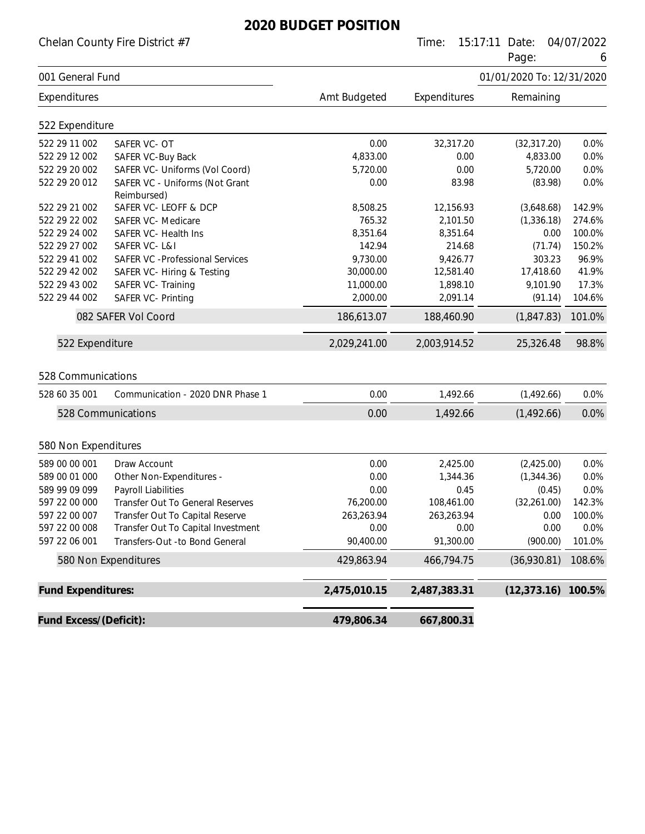Chelan County Fire District #7 Time: 15:17:11 Date: 04/07/2022

Page: 6

|                           |                                               |              |              | r ayc.                    | U      |
|---------------------------|-----------------------------------------------|--------------|--------------|---------------------------|--------|
| 001 General Fund          |                                               |              |              | 01/01/2020 To: 12/31/2020 |        |
| Expenditures              |                                               | Amt Budgeted | Expenditures | Remaining                 |        |
| 522 Expenditure           |                                               |              |              |                           |        |
| 522 29 11 002             | SAFER VC-OT                                   | 0.00         | 32,317.20    | (32, 317.20)              | 0.0%   |
| 522 29 12 002             | SAFER VC-Buy Back                             | 4,833.00     | 0.00         | 4,833.00                  | 0.0%   |
| 522 29 20 002             | SAFER VC- Uniforms (Vol Coord)                | 5,720.00     | 0.00         | 5,720.00                  | 0.0%   |
| 522 29 20 012             | SAFER VC - Uniforms (Not Grant<br>Reimbursed) | 0.00         | 83.98        | (83.98)                   | 0.0%   |
| 522 29 21 002             | SAFER VC-LEOFF & DCP                          | 8,508.25     | 12,156.93    | (3,648.68)                | 142.9% |
| 522 29 22 002             | <b>SAFER VC- Medicare</b>                     | 765.32       | 2,101.50     | (1, 336.18)               | 274.6% |
| 522 29 24 002             | SAFER VC- Health Ins                          | 8,351.64     | 8,351.64     | 0.00                      | 100.0% |
| 522 29 27 002             | SAFER VC-L&I                                  | 142.94       | 214.68       | (71.74)                   | 150.2% |
| 522 29 41 002             | <b>SAFER VC -Professional Services</b>        | 9,730.00     | 9,426.77     | 303.23                    | 96.9%  |
| 522 29 42 002             | SAFER VC- Hiring & Testing                    | 30,000.00    | 12,581.40    | 17,418.60                 | 41.9%  |
| 522 29 43 002             | SAFER VC- Training                            | 11,000.00    | 1,898.10     | 9,101.90                  | 17.3%  |
| 522 29 44 002             | <b>SAFER VC- Printing</b>                     | 2,000.00     | 2,091.14     | (91.14)                   | 104.6% |
|                           | 082 SAFER Vol Coord                           | 186,613.07   | 188,460.90   | (1,847.83)                | 101.0% |
| 522 Expenditure           |                                               | 2,029,241.00 | 2,003,914.52 | 25,326.48                 | 98.8%  |
| 528 Communications        |                                               |              |              |                           |        |
| 528 60 35 001             | Communication - 2020 DNR Phase 1              | 0.00         | 1,492.66     | (1,492.66)                | 0.0%   |
|                           | 528 Communications                            | 0.00         | 1,492.66     | (1,492.66)                | 0.0%   |
| 580 Non Expenditures      |                                               |              |              |                           |        |
| 589 00 00 001             | Draw Account                                  | 0.00         | 2,425.00     | (2,425.00)                | 0.0%   |
| 589 00 01 000             | Other Non-Expenditures -                      | 0.00         | 1,344.36     | (1,344.36)                | 0.0%   |
| 589 99 09 099             | Payroll Liabilities                           | 0.00         | 0.45         | (0.45)                    | 0.0%   |
| 597 22 00 000             | Transfer Out To General Reserves              | 76,200.00    | 108,461.00   | (32,261.00)               | 142.3% |
| 597 22 00 007             | Transfer Out To Capital Reserve               | 263,263.94   | 263,263.94   | 0.00                      | 100.0% |
| 597 22 00 008             | Transfer Out To Capital Investment            | 0.00         | 0.00         | 0.00                      | 0.0%   |
| 597 22 06 001             | Transfers-Out -to Bond General                | 90,400.00    | 91,300.00    | (900.00)                  | 101.0% |
|                           | 580 Non Expenditures                          | 429,863.94   | 466,794.75   | (36,930.81)               | 108.6% |
| <b>Fund Expenditures:</b> |                                               | 2,475,010.15 | 2,487,383.31 | (12, 373.16)              | 100.5% |
| Fund Excess/(Deficit):    |                                               | 479,806.34   | 667,800.31   |                           |        |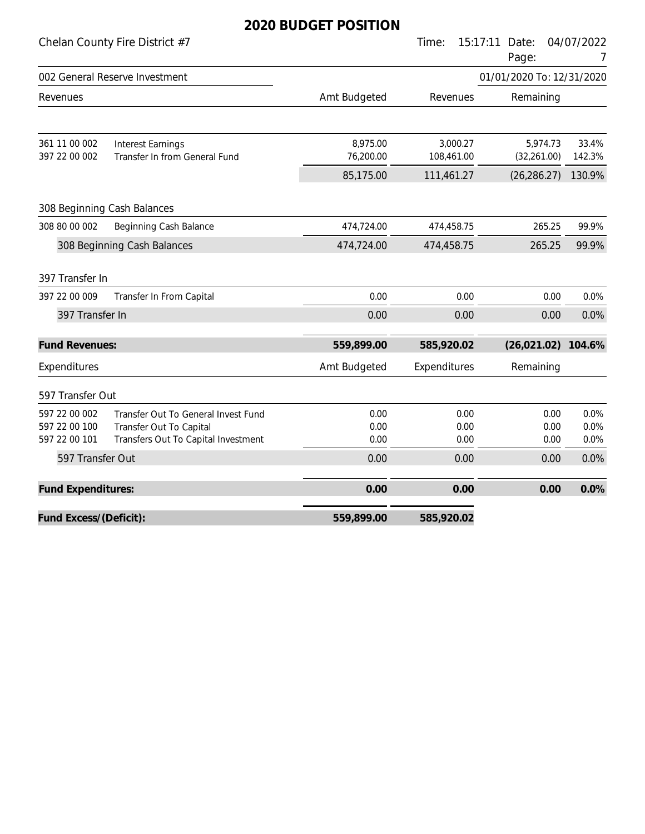|                                                 |                                                                                                       | 6060ET TOSHI          |                        |                           |                      |
|-------------------------------------------------|-------------------------------------------------------------------------------------------------------|-----------------------|------------------------|---------------------------|----------------------|
|                                                 | Chelan County Fire District #7                                                                        |                       | Time:<br>15:17:11      | Date:<br>Page:            | 04/07/2022<br>7      |
|                                                 | 002 General Reserve Investment                                                                        |                       |                        | 01/01/2020 To: 12/31/2020 |                      |
| Revenues                                        |                                                                                                       | Amt Budgeted          | Revenues               | Remaining                 |                      |
| 361 11 00 002<br>397 22 00 002                  | <b>Interest Earnings</b><br>Transfer In from General Fund                                             | 8,975.00<br>76,200.00 | 3,000.27<br>108,461.00 | 5,974.73<br>(32, 261.00)  | 33.4%<br>142.3%      |
|                                                 |                                                                                                       | 85,175.00             | 111,461.27             | (26, 286.27)              | 130.9%               |
|                                                 | 308 Beginning Cash Balances                                                                           |                       |                        |                           |                      |
| 308 80 00 002                                   | Beginning Cash Balance                                                                                | 474,724.00            | 474,458.75             | 265.25                    | 99.9%                |
|                                                 | 308 Beginning Cash Balances                                                                           | 474,724.00            | 474,458.75             | 265.25                    | 99.9%                |
| 397 Transfer In                                 |                                                                                                       |                       |                        |                           |                      |
| 397 22 00 009                                   | Transfer In From Capital                                                                              | 0.00                  | 0.00                   | 0.00                      | 0.0%                 |
| 397 Transfer In                                 |                                                                                                       | 0.00                  | 0.00                   | 0.00                      | 0.0%                 |
| <b>Fund Revenues:</b>                           |                                                                                                       | 559,899.00            | 585,920.02             | (26, 021.02)              | 104.6%               |
| Expenditures                                    |                                                                                                       | Amt Budgeted          | Expenditures           | Remaining                 |                      |
| 597 Transfer Out                                |                                                                                                       |                       |                        |                           |                      |
| 597 22 00 002<br>597 22 00 100<br>597 22 00 101 | Transfer Out To General Invest Fund<br>Transfer Out To Capital<br>Transfers Out To Capital Investment | 0.00<br>0.00<br>0.00  | 0.00<br>0.00<br>0.00   | 0.00<br>0.00<br>0.00      | 0.0%<br>0.0%<br>0.0% |
| 597 Transfer Out                                |                                                                                                       | 0.00                  | 0.00                   | 0.00                      | 0.0%                 |
| Fund Expenditures:                              |                                                                                                       | 0.00                  | 0.00                   | 0.00                      | 0.0%                 |
| Fund Excess/(Deficit):                          |                                                                                                       | 559,899.00            | 585,920.02             |                           |                      |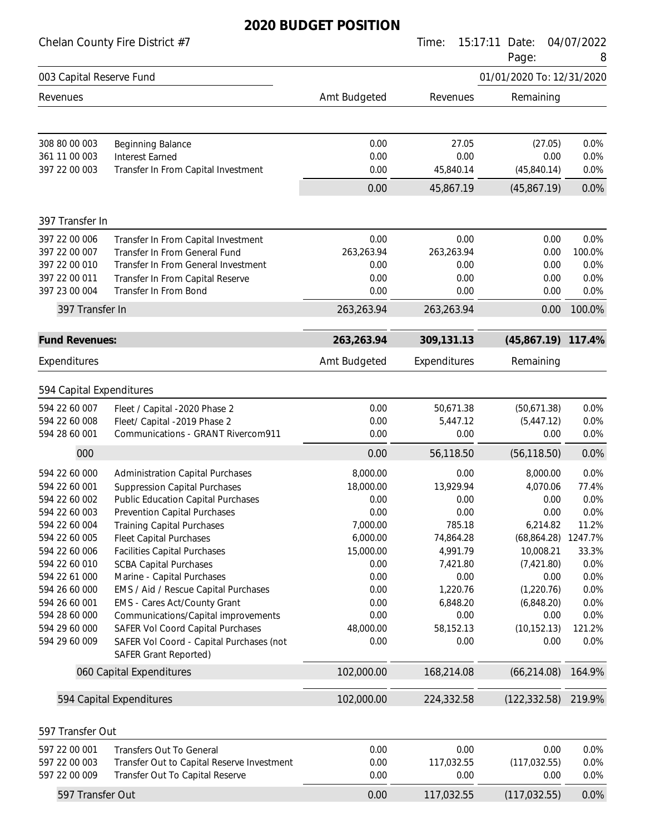|                                                                                                                                                                                                                                            | Chelan County Fire District #7                                                                                                                                                                                                                                                                                                                                                                                                                                                                                                                                                                                      |                                                                                                                                                       | Time:                                                                                                                                                       | 15:17:11<br>Date:<br>Page:                                                                                                                                                     | 04/07/2022<br>8                                                                                                                |
|--------------------------------------------------------------------------------------------------------------------------------------------------------------------------------------------------------------------------------------------|---------------------------------------------------------------------------------------------------------------------------------------------------------------------------------------------------------------------------------------------------------------------------------------------------------------------------------------------------------------------------------------------------------------------------------------------------------------------------------------------------------------------------------------------------------------------------------------------------------------------|-------------------------------------------------------------------------------------------------------------------------------------------------------|-------------------------------------------------------------------------------------------------------------------------------------------------------------|--------------------------------------------------------------------------------------------------------------------------------------------------------------------------------|--------------------------------------------------------------------------------------------------------------------------------|
| 003 Capital Reserve Fund                                                                                                                                                                                                                   |                                                                                                                                                                                                                                                                                                                                                                                                                                                                                                                                                                                                                     |                                                                                                                                                       |                                                                                                                                                             | 01/01/2020 To: 12/31/2020                                                                                                                                                      |                                                                                                                                |
| Revenues                                                                                                                                                                                                                                   |                                                                                                                                                                                                                                                                                                                                                                                                                                                                                                                                                                                                                     | Amt Budgeted                                                                                                                                          | Revenues                                                                                                                                                    | Remaining                                                                                                                                                                      |                                                                                                                                |
| 308 80 00 003<br>361 11 00 003<br>397 22 00 003                                                                                                                                                                                            | <b>Beginning Balance</b><br><b>Interest Earned</b><br>Transfer In From Capital Investment                                                                                                                                                                                                                                                                                                                                                                                                                                                                                                                           | 0.00<br>0.00<br>0.00                                                                                                                                  | 27.05<br>0.00<br>45,840.14                                                                                                                                  | (27.05)<br>0.00<br>(45,840.14)                                                                                                                                                 | 0.0%<br>0.0%<br>0.0%                                                                                                           |
|                                                                                                                                                                                                                                            |                                                                                                                                                                                                                                                                                                                                                                                                                                                                                                                                                                                                                     | 0.00                                                                                                                                                  | 45,867.19                                                                                                                                                   | (45,867.19)                                                                                                                                                                    | 0.0%                                                                                                                           |
| 397 Transfer In                                                                                                                                                                                                                            |                                                                                                                                                                                                                                                                                                                                                                                                                                                                                                                                                                                                                     |                                                                                                                                                       |                                                                                                                                                             |                                                                                                                                                                                |                                                                                                                                |
| 397 22 00 006<br>397 22 00 007<br>397 22 00 010<br>397 22 00 011<br>397 23 00 004                                                                                                                                                          | Transfer In From Capital Investment<br>Transfer In From General Fund<br>Transfer In From General Investment<br>Transfer In From Capital Reserve<br>Transfer In From Bond                                                                                                                                                                                                                                                                                                                                                                                                                                            | 0.00<br>263,263.94<br>0.00<br>0.00<br>0.00                                                                                                            | 0.00<br>263,263.94<br>0.00<br>0.00<br>0.00                                                                                                                  | 0.00<br>0.00<br>0.00<br>0.00<br>0.00                                                                                                                                           | 0.0%<br>100.0%<br>0.0%<br>0.0%<br>0.0%                                                                                         |
| 397 Transfer In                                                                                                                                                                                                                            |                                                                                                                                                                                                                                                                                                                                                                                                                                                                                                                                                                                                                     | 263,263.94                                                                                                                                            | 263,263.94                                                                                                                                                  | 0.00                                                                                                                                                                           | 100.0%                                                                                                                         |
| <b>Fund Revenues:</b>                                                                                                                                                                                                                      |                                                                                                                                                                                                                                                                                                                                                                                                                                                                                                                                                                                                                     | 263,263.94                                                                                                                                            | 309,131.13                                                                                                                                                  | (45,867.19)                                                                                                                                                                    | 117.4%                                                                                                                         |
| Expenditures                                                                                                                                                                                                                               |                                                                                                                                                                                                                                                                                                                                                                                                                                                                                                                                                                                                                     | Amt Budgeted                                                                                                                                          | Expenditures                                                                                                                                                | Remaining                                                                                                                                                                      |                                                                                                                                |
| 594 Capital Expenditures                                                                                                                                                                                                                   |                                                                                                                                                                                                                                                                                                                                                                                                                                                                                                                                                                                                                     |                                                                                                                                                       |                                                                                                                                                             |                                                                                                                                                                                |                                                                                                                                |
| 594 22 60 007<br>594 22 60 008<br>594 28 60 001                                                                                                                                                                                            | Fleet / Capital -2020 Phase 2<br>Fleet/ Capital -2019 Phase 2<br>Communications - GRANT Rivercom911                                                                                                                                                                                                                                                                                                                                                                                                                                                                                                                 | 0.00<br>0.00<br>0.00                                                                                                                                  | 50,671.38<br>5,447.12<br>0.00                                                                                                                               | (50,671.38)<br>(5,447.12)<br>0.00                                                                                                                                              | 0.0%<br>0.0%<br>0.0%                                                                                                           |
| 000                                                                                                                                                                                                                                        |                                                                                                                                                                                                                                                                                                                                                                                                                                                                                                                                                                                                                     | 0.00                                                                                                                                                  | 56,118.50                                                                                                                                                   | (56, 118.50)                                                                                                                                                                   | 0.0%                                                                                                                           |
| 594 22 60 000<br>594 22 60 001<br>594 22 60 002<br>594 22 60 003<br>594 22 60 004<br>594 22 60 005<br>594 22 60 006<br>594 22 60 010<br>594 22 61 000<br>594 26 60 000<br>594 26 60 001<br>594 28 60 000<br>594 29 60 000<br>594 29 60 009 | <b>Administration Capital Purchases</b><br><b>Suppression Capital Purchases</b><br><b>Public Education Capital Purchases</b><br><b>Prevention Capital Purchases</b><br><b>Training Capital Purchases</b><br><b>Fleet Capital Purchases</b><br><b>Facilities Capital Purchases</b><br><b>SCBA Capital Purchases</b><br>Marine - Capital Purchases<br>EMS / Aid / Rescue Capital Purchases<br><b>EMS - Cares Act/County Grant</b><br>Communications/Capital improvements<br>SAFER Vol Coord Capital Purchases<br>SAFER Vol Coord - Capital Purchases (not<br><b>SAFER Grant Reported)</b><br>060 Capital Expenditures | 8,000.00<br>18,000.00<br>0.00<br>0.00<br>7,000.00<br>6,000.00<br>15,000.00<br>0.00<br>0.00<br>0.00<br>0.00<br>0.00<br>48,000.00<br>0.00<br>102,000.00 | 0.00<br>13,929.94<br>0.00<br>0.00<br>785.18<br>74,864.28<br>4,991.79<br>7,421.80<br>0.00<br>1,220.76<br>6,848.20<br>0.00<br>58,152.13<br>0.00<br>168,214.08 | 8,000.00<br>4,070.06<br>0.00<br>0.00<br>6,214.82<br>(68,864.28)<br>10,008.21<br>(7,421.80)<br>0.00<br>(1,220.76)<br>(6,848.20)<br>0.00<br>(10, 152.13)<br>0.00<br>(66, 214.08) | 0.0%<br>77.4%<br>0.0%<br>0.0%<br>11.2%<br>1247.7%<br>33.3%<br>0.0%<br>0.0%<br>0.0%<br>0.0%<br>0.0%<br>121.2%<br>0.0%<br>164.9% |
|                                                                                                                                                                                                                                            | 594 Capital Expenditures                                                                                                                                                                                                                                                                                                                                                                                                                                                                                                                                                                                            | 102,000.00                                                                                                                                            | 224,332.58                                                                                                                                                  | (122, 332.58)                                                                                                                                                                  | 219.9%                                                                                                                         |
| 597 Transfer Out                                                                                                                                                                                                                           |                                                                                                                                                                                                                                                                                                                                                                                                                                                                                                                                                                                                                     |                                                                                                                                                       |                                                                                                                                                             |                                                                                                                                                                                |                                                                                                                                |
| 597 22 00 001<br>597 22 00 003<br>597 22 00 009                                                                                                                                                                                            | <b>Transfers Out To General</b><br>Transfer Out to Capital Reserve Investment<br>Transfer Out To Capital Reserve                                                                                                                                                                                                                                                                                                                                                                                                                                                                                                    | 0.00<br>0.00<br>0.00                                                                                                                                  | 0.00<br>117,032.55<br>0.00                                                                                                                                  | 0.00<br>(117, 032.55)<br>0.00                                                                                                                                                  | 0.0%<br>0.0%<br>0.0%                                                                                                           |
| 597 Transfer Out                                                                                                                                                                                                                           |                                                                                                                                                                                                                                                                                                                                                                                                                                                                                                                                                                                                                     | 0.00                                                                                                                                                  | 117,032.55                                                                                                                                                  | (117, 032.55)                                                                                                                                                                  | 0.0%                                                                                                                           |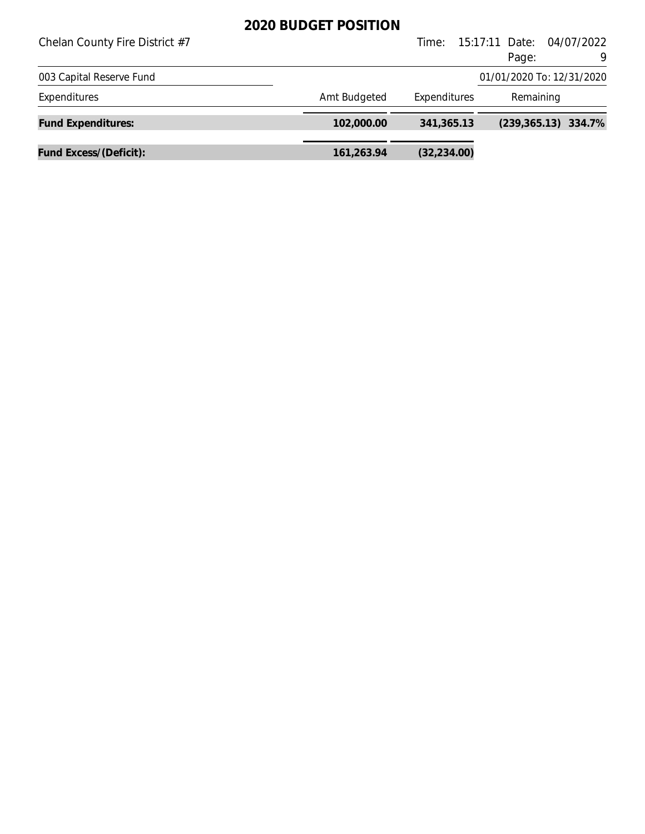| Chelan County Fire District #7 |              | Time:        | 15:17:11 Date: 04/07/2022<br>Page:<br>9 |
|--------------------------------|--------------|--------------|-----------------------------------------|
| 003 Capital Reserve Fund       |              |              | 01/01/2020 To: 12/31/2020               |
| Expenditures                   | Amt Budgeted | Expenditures | Remaining                               |
| <b>Fund Expenditures:</b>      | 102,000.00   | 341,365.13   | $(239, 365.13)$ 334.7%                  |
| Fund Excess/(Deficit):         | 161,263.94   | (32, 234.00) |                                         |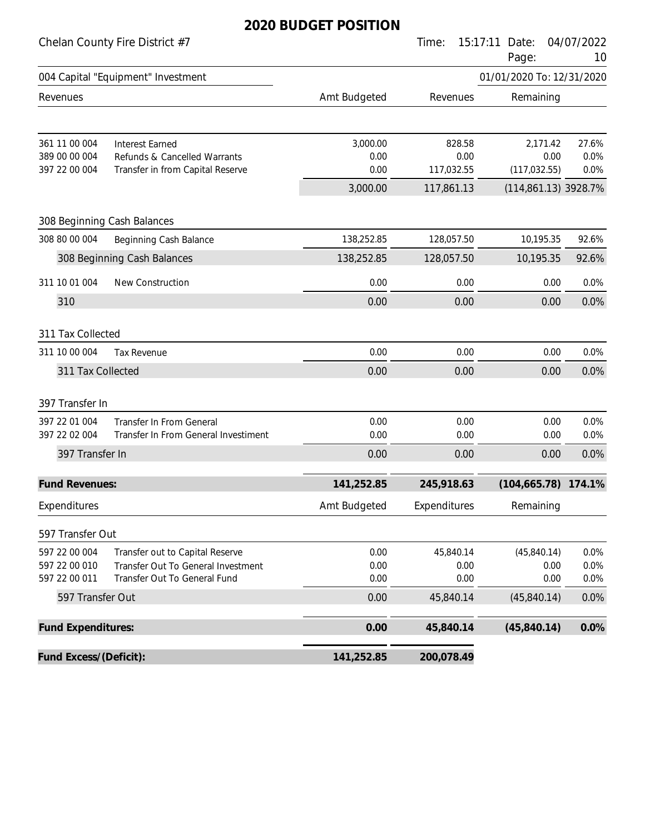#### Chelan County Fire District #7 Time: 15:17:11 Date: 04/07/2022

|                                                 |                                                                                                       |                          |                              | Page:                             | 10                    |
|-------------------------------------------------|-------------------------------------------------------------------------------------------------------|--------------------------|------------------------------|-----------------------------------|-----------------------|
|                                                 | 004 Capital "Equipment" Investment                                                                    |                          |                              | 01/01/2020 To: 12/31/2020         |                       |
| Revenues                                        |                                                                                                       | Amt Budgeted             | Revenues                     | Remaining                         |                       |
| 361 11 00 004<br>389 00 00 004<br>397 22 00 004 | <b>Interest Earned</b><br>Refunds & Cancelled Warrants<br>Transfer in from Capital Reserve            | 3,000.00<br>0.00<br>0.00 | 828.58<br>0.00<br>117,032.55 | 2,171.42<br>0.00<br>(117, 032.55) | 27.6%<br>0.0%<br>0.0% |
|                                                 |                                                                                                       | 3,000.00                 | 117,861.13                   | (114,861.13) 3928.7%              |                       |
|                                                 | 308 Beginning Cash Balances                                                                           |                          |                              |                                   |                       |
| 308 80 00 004                                   | Beginning Cash Balance                                                                                | 138,252.85               | 128,057.50                   | 10,195.35                         | 92.6%                 |
|                                                 | 308 Beginning Cash Balances                                                                           | 138,252.85               | 128,057.50                   | 10,195.35                         | 92.6%                 |
| 311 10 01 004                                   | New Construction                                                                                      | 0.00                     | 0.00                         | 0.00                              | 0.0%                  |
| 310                                             |                                                                                                       | 0.00                     | 0.00                         | 0.00                              | 0.0%                  |
| 311 Tax Collected                               |                                                                                                       |                          |                              |                                   |                       |
| 311 10 00 004                                   | Tax Revenue                                                                                           | 0.00                     | 0.00                         | 0.00                              | 0.0%                  |
| 311 Tax Collected                               |                                                                                                       | 0.00                     | 0.00                         | 0.00                              | 0.0%                  |
| 397 Transfer In                                 |                                                                                                       |                          |                              |                                   |                       |
| 397 22 01 004<br>397 22 02 004                  | Transfer In From General<br>Transfer In From General Investiment                                      | 0.00<br>0.00             | 0.00<br>0.00                 | 0.00<br>0.00                      | 0.0%<br>0.0%          |
| 397 Transfer In                                 |                                                                                                       | 0.00                     | 0.00                         | 0.00                              | 0.0%                  |
| <b>Fund Revenues:</b>                           |                                                                                                       | 141,252.85               | 245,918.63                   | (104, 665.78)                     | 174.1%                |
| Expenditures                                    |                                                                                                       | Amt Budgeted             | Expenditures                 | Remaining                         |                       |
| 597 Transfer Out                                |                                                                                                       |                          |                              |                                   |                       |
| 597 22 00 004<br>597 22 00 010<br>597 22 00 011 | Transfer out to Capital Reserve<br>Transfer Out To General Investment<br>Transfer Out To General Fund | 0.00<br>0.00<br>0.00     | 45,840.14<br>0.00<br>0.00    | (45,840.14)<br>0.00<br>0.00       | 0.0%<br>0.0%<br>0.0%  |
| 597 Transfer Out                                |                                                                                                       | 0.00                     | 45,840.14                    | (45,840.14)                       | 0.0%                  |
| Fund Expenditures:                              |                                                                                                       | 0.00                     | 45,840.14                    | (45,840.14)                       | 0.0%                  |
| Fund Excess/(Deficit):                          |                                                                                                       | 141,252.85               | 200,078.49                   |                                   |                       |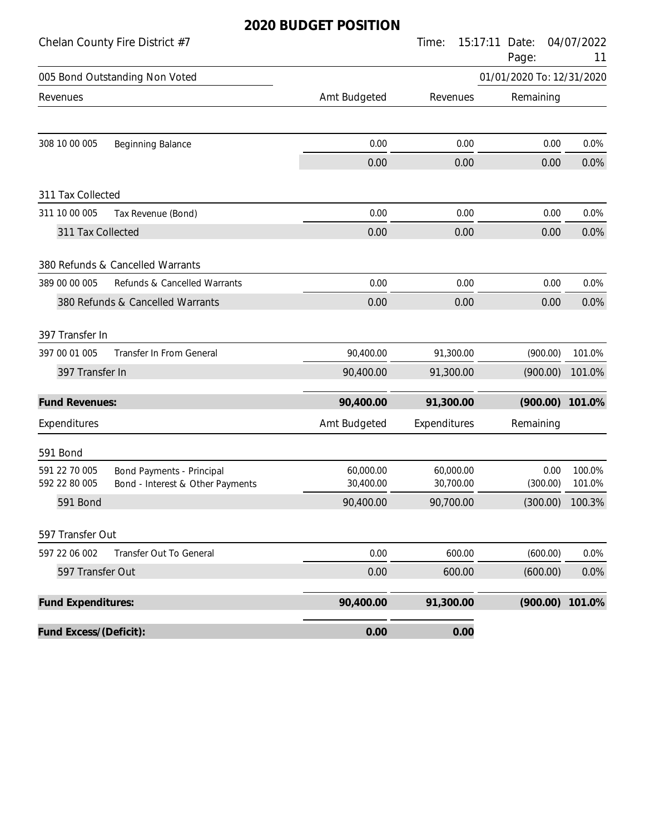|                           | Chelan County Fire District #7   |              | Time:        | 15:17:11<br>Date:<br>Page: | 04/07/2022<br>11  |
|---------------------------|----------------------------------|--------------|--------------|----------------------------|-------------------|
|                           | 005 Bond Outstanding Non Voted   |              |              | 01/01/2020 To: 12/31/2020  |                   |
| Revenues                  |                                  | Amt Budgeted | Revenues     | Remaining                  |                   |
|                           |                                  |              |              |                            |                   |
| 308 10 00 005             | Beginning Balance                | 0.00         | 0.00         | 0.00                       | 0.0%              |
|                           |                                  | 0.00         | 0.00         | 0.00                       | 0.0%              |
| 311 Tax Collected         |                                  |              |              |                            |                   |
| 311 10 00 005             | Tax Revenue (Bond)               | 0.00         | 0.00         | 0.00                       | 0.0%              |
| 311 Tax Collected         |                                  | 0.00         | 0.00         | 0.00                       | 0.0%              |
|                           | 380 Refunds & Cancelled Warrants |              |              |                            |                   |
| 389 00 00 005             | Refunds & Cancelled Warrants     | 0.00         | 0.00         | 0.00                       | 0.0%              |
|                           | 380 Refunds & Cancelled Warrants | 0.00         | 0.00         | 0.00                       | 0.0%              |
| 397 Transfer In           |                                  |              |              |                            |                   |
| 397 00 01 005             | Transfer In From General         | 90,400.00    | 91,300.00    | (900.00)                   | 101.0%            |
| 397 Transfer In           |                                  | 90,400.00    | 91,300.00    | (900.00)                   | 101.0%            |
| <b>Fund Revenues:</b>     |                                  | 90,400.00    | 91,300.00    | (900.00)                   | 101.0%            |
| Expenditures              |                                  | Amt Budgeted | Expenditures | Remaining                  |                   |
| 591 Bond                  |                                  |              |              |                            |                   |
| 591 22 70 005             | <b>Bond Payments - Principal</b> | 60,000.00    | 60,000.00    | 0.00                       | 100.0%            |
| 592 22 80 005             | Bond - Interest & Other Payments | 30,400.00    | 30,700.00    | (300.00)                   | 101.0%            |
| 591 Bond                  |                                  | 90,400.00    | 90,700.00    |                            | $(300.00)$ 100.3% |
| 597 Transfer Out          |                                  |              |              |                            |                   |
| 597 22 06 002             | Transfer Out To General          | 0.00         | 600.00       | (600.00)                   | 0.0%              |
| 597 Transfer Out          |                                  | 0.00         | 600.00       | (600.00)                   | 0.0%              |
| <b>Fund Expenditures:</b> |                                  | 90,400.00    | 91,300.00    | (900.00)                   | 101.0%            |
| Fund Excess/(Deficit):    |                                  | 0.00         | 0.00         |                            |                   |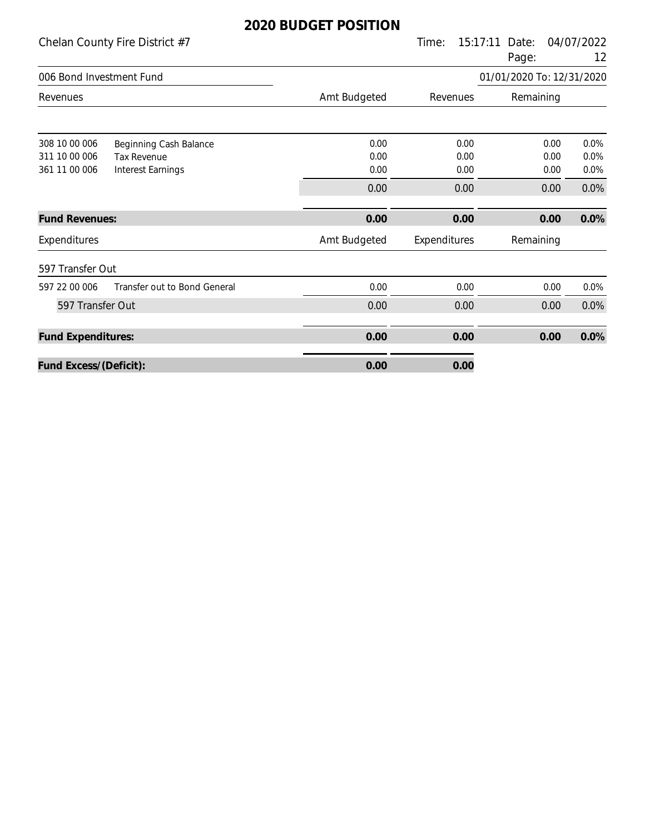|                                                 | Chelan County Fire District #7                                    |                      | Time:                | 15:17:11<br>Date:<br>Page: | 04/07/2022<br>12                             |
|-------------------------------------------------|-------------------------------------------------------------------|----------------------|----------------------|----------------------------|----------------------------------------------|
| 006 Bond Investment Fund                        |                                                                   |                      |                      | 01/01/2020 To: 12/31/2020  |                                              |
| Revenues                                        |                                                                   | Amt Budgeted         | Revenues             | Remaining                  |                                              |
| 308 10 00 006<br>311 10 00 006<br>361 11 00 006 | Beginning Cash Balance<br><b>Tax Revenue</b><br>Interest Earnings | 0.00<br>0.00<br>0.00 | 0.00<br>0.00<br>0.00 |                            | 0.00<br>0.0%<br>0.00<br>0.0%<br>0.0%<br>0.00 |
|                                                 |                                                                   | 0.00                 | 0.00                 |                            | 0.0%<br>0.00                                 |
| <b>Fund Revenues:</b>                           |                                                                   | 0.00                 | 0.00                 |                            | 0.0%<br>0.00                                 |
| Expenditures                                    |                                                                   | Amt Budgeted         | Expenditures         | Remaining                  |                                              |
| 597 Transfer Out                                |                                                                   |                      |                      |                            |                                              |
| 597 22 00 006                                   | Transfer out to Bond General                                      | 0.00                 | 0.00                 |                            | 0.00<br>0.0%                                 |
| 597 Transfer Out                                |                                                                   | 0.00                 | 0.00                 |                            | 0.0%<br>0.00                                 |
| <b>Fund Expenditures:</b>                       |                                                                   | 0.00                 | 0.00                 |                            | 0.0%<br>0.00                                 |
| Fund Excess/(Deficit):                          |                                                                   | 0.00                 | 0.00                 |                            |                                              |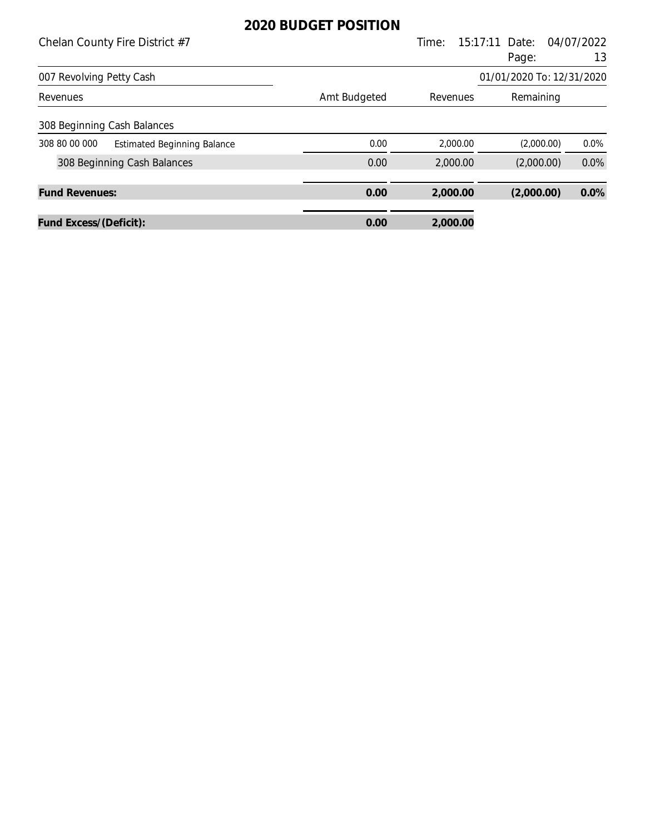| Chelan County Fire District #7                      |              | Time:    | 15:17:11<br>Date:         | 04/07/2022 |
|-----------------------------------------------------|--------------|----------|---------------------------|------------|
|                                                     |              |          | Page:                     | 13         |
| 007 Revolving Petty Cash                            |              |          | 01/01/2020 To: 12/31/2020 |            |
| Revenues                                            | Amt Budgeted | Revenues | Remaining                 |            |
| 308 Beginning Cash Balances                         |              |          |                           |            |
| 308 80 00 000<br><b>Estimated Beginning Balance</b> | 0.00         | 2,000.00 | (2,000.00)                | $0.0\%$    |
| 308 Beginning Cash Balances                         | 0.00         | 2,000.00 | (2,000.00)                | 0.0%       |
|                                                     |              |          |                           |            |
| <b>Fund Revenues:</b>                               | 0.00         | 2,000.00 | (2,000.00)                | 0.0%       |
| Fund Excess/(Deficit):                              | 0.00         | 2,000.00 |                           |            |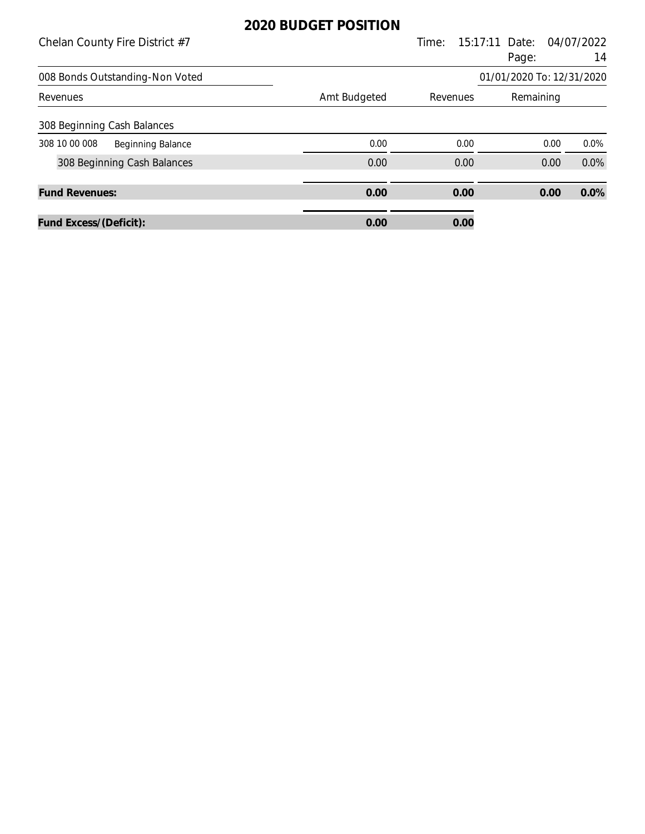| Chelan County Fire District #7                               |              | Time:                 | 15:17:11 Date: | 04/07/2022      |
|--------------------------------------------------------------|--------------|-----------------------|----------------|-----------------|
|                                                              |              |                       | Page:          | 14              |
| 01/01/2020 To: 12/31/2020<br>008 Bonds Outstanding-Non Voted |              |                       |                |                 |
| Revenues                                                     | Amt Budgeted | Revenues<br>Remaining |                |                 |
| 308 Beginning Cash Balances                                  |              |                       |                |                 |
| 308 10 00 008<br><b>Beginning Balance</b>                    | 0.00         | 0.00                  |                | $0.0\%$<br>0.00 |
| 308 Beginning Cash Balances                                  | 0.00         | 0.00                  | 0.00           | 0.0%            |
| <b>Fund Revenues:</b>                                        | 0.00         | 0.00                  | 0.00           | 0.0%            |
| Fund Excess/(Deficit):                                       | 0.00         | 0.00                  |                |                 |